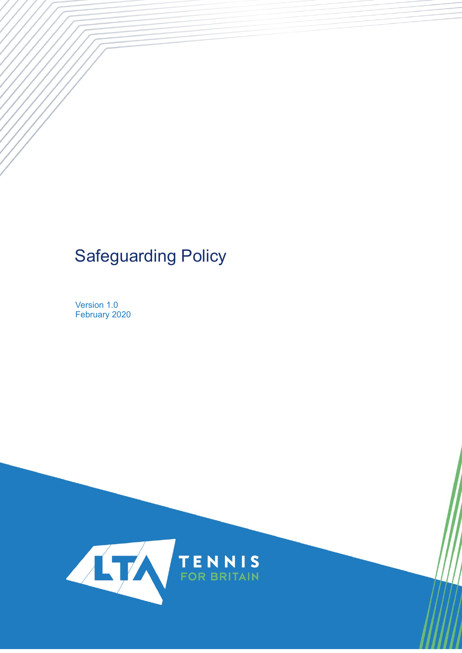# Safeguarding Policy

Version 1.0 February 2020

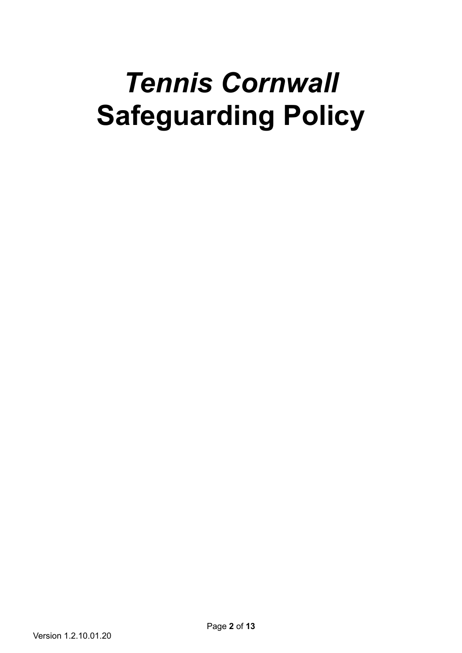# *Tennis Cornwall*  **Safeguarding Policy**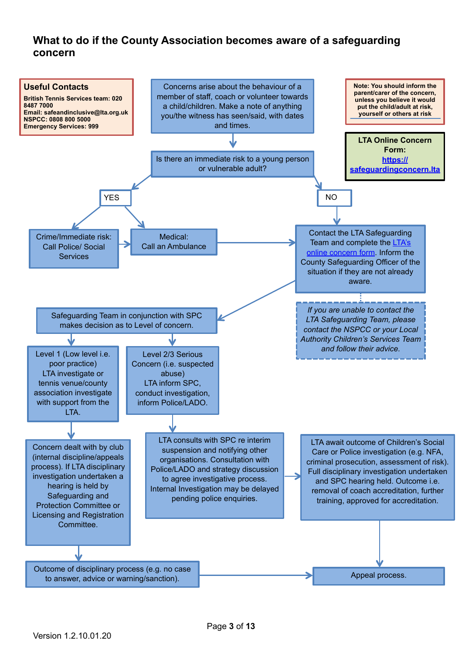# **What to do if the County Association becomes aware of a safeguarding concern**

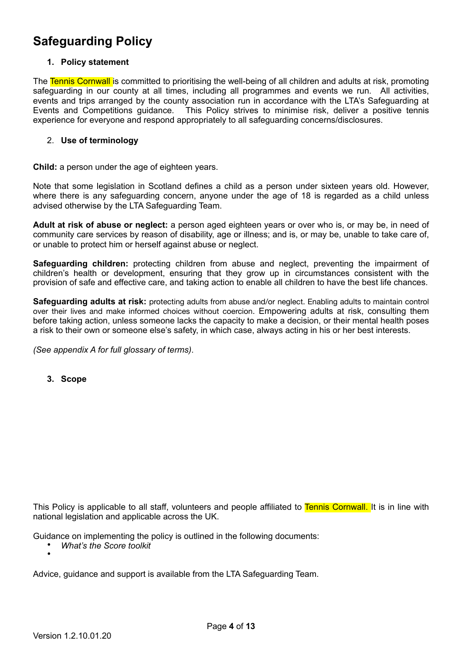# **Safeguarding Policy**

#### **1. Policy statement**

The Tennis Cornwall is committed to prioritising the well-being of all children and adults at risk, promoting safeguarding in our county at all times, including all programmes and events we run. All activities, events and trips arranged by the county association run in accordance with the LTA's Safeguarding at Events and Competitions guidance. This Policy strives to minimise risk, deliver a positive tennis experience for everyone and respond appropriately to all safeguarding concerns/disclosures.

#### 2. **Use of terminology**

**Child:** a person under the age of eighteen years.

Note that some legislation in Scotland defines a child as a person under sixteen years old. However, where there is any safeguarding concern, anyone under the age of 18 is regarded as a child unless advised otherwise by the LTA Safeguarding Team.

**Adult at risk of abuse or neglect:** a person aged eighteen years or over who is, or may be, in need of community care services by reason of disability, age or illness; and is, or may be, unable to take care of, or unable to protect him or herself against abuse or neglect.

**Safeguarding children:** protecting children from abuse and neglect, preventing the impairment of children's health or development, ensuring that they grow up in circumstances consistent with the provision of safe and effective care, and taking action to enable all children to have the best life chances.

**Safeguarding adults at risk:** protecting adults from abuse and/or neglect. Enabling adults to maintain control over their lives and make informed choices without coercion. Empowering adults at risk, consulting them before taking action, unless someone lacks the capacity to make a decision, or their mental health poses a risk to their own or someone else's safety, in which case, always acting in his or her best interests.

*(See appendix A for full glossary of terms)*.

**3. Scope**

This Policy is applicable to all staff, volunteers and people affiliated to Tennis Cornwall. It is in line with national legislation and applicable across the UK.

Guidance on implementing the policy is outlined in the following documents:

• *What's the Score toolkit* •

Advice, guidance and support is available from the LTA Safeguarding Team.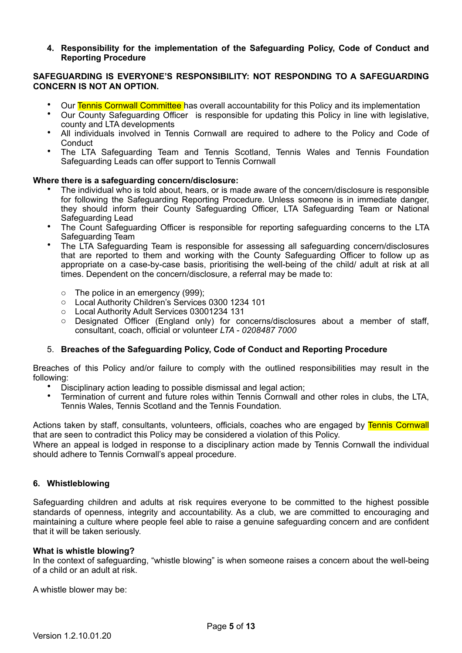**4. Responsibility for the implementation of the Safeguarding Policy, Code of Conduct and Reporting Procedure** 

#### **SAFEGUARDING IS EVERYONE'S RESPONSIBILITY: NOT RESPONDING TO A SAFEGUARDING CONCERN IS NOT AN OPTION.**

- Our Tennis Cornwall Committee has overall accountability for this Policy and its implementation<br>• Our County Sefecuarding Officer, is responsible for undeting this Policy in line with logislative
- Our County Safeguarding Officer is responsible for updating this Policy in line with legislative, county and LTA developments
- All individuals involved in Tennis Cornwall are required to adhere to the Policy and Code of **Conduct**
- The LTA Safeguarding Team and Tennis Scotland, Tennis Wales and Tennis Foundation Safeguarding Leads can offer support to Tennis Cornwall

#### **Where there is a safeguarding concern/disclosure:**

- The individual who is told about, hears, or is made aware of the concern/disclosure is responsible for following the Safeguarding Reporting Procedure. Unless someone is in immediate danger, they should inform their County Safeguarding Officer, LTA Safeguarding Team or National Safeguarding Lead
- The Count Safeguarding Officer is responsible for reporting safeguarding concerns to the LTA Safeguarding Team
- The LTA Safeguarding Team is responsible for assessing all safeguarding concern/disclosures that are reported to them and working with the County Safeguarding Officer to follow up as appropriate on a case-by-case basis, prioritising the well-being of the child/ adult at risk at all times. Dependent on the concern/disclosure, a referral may be made to:
	- o The police in an emergency (999);
	- o Local Authority Children's Services 0300 1234 101
	- o Local Authority Adult Services 03001234 131
	- o Designated Officer (England only) for concerns/disclosures about a member of staff, consultant, coach, official or volunteer *LTA - 0208487 7000*

#### 5. **Breaches of the Safeguarding Policy, Code of Conduct and Reporting Procedure**

Breaches of this Policy and/or failure to comply with the outlined responsibilities may result in the following:

- Disciplinary action leading to possible dismissal and legal action;
- Termination of current and future roles within Tennis Cornwall and other roles in clubs, the LTA, Tennis Wales, Tennis Scotland and the Tennis Foundation*.*

Actions taken by staff, consultants, volunteers, officials, coaches who are engaged by Tennis Cornwall that are seen to contradict this Policy may be considered a violation of this Policy.

Where an appeal is lodged in response to a disciplinary action made by Tennis Cornwall the individual should adhere to Tennis Cornwall's appeal procedure.

#### **6. Whistleblowing**

Safeguarding children and adults at risk requires everyone to be committed to the highest possible standards of openness, integrity and accountability. As a club, we are committed to encouraging and maintaining a culture where people feel able to raise a genuine safeguarding concern and are confident that it will be taken seriously.

#### **What is whistle blowing?**

In the context of safeguarding, "whistle blowing" is when someone raises a concern about the well-being of a child or an adult at risk.

A whistle blower may be: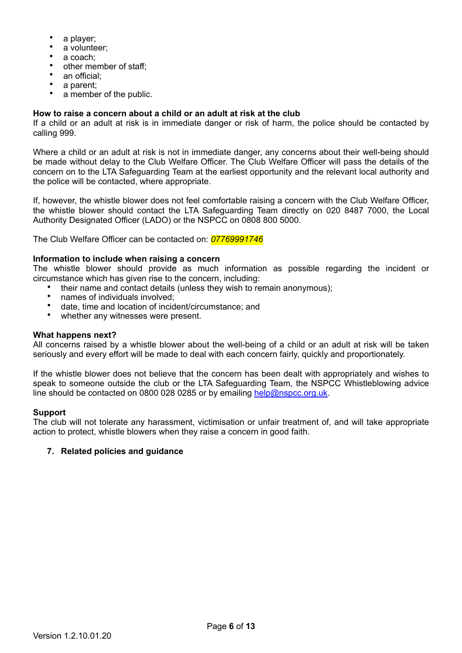- a player;
- a volunteer:
- a coach;
- other member of staff;
- an official:
- a parent:
- a member of the public.

#### **How to raise a concern about a child or an adult at risk at the club**

If a child or an adult at risk is in immediate danger or risk of harm, the police should be contacted by calling 999.

Where a child or an adult at risk is not in immediate danger, any concerns about their well-being should be made without delay to the Club Welfare Officer. The Club Welfare Officer will pass the details of the concern on to the LTA Safeguarding Team at the earliest opportunity and the relevant local authority and the police will be contacted, where appropriate.

If, however, the whistle blower does not feel comfortable raising a concern with the Club Welfare Officer, the whistle blower should contact the LTA Safeguarding Team directly on 020 8487 7000, the Local Authority Designated Officer (LADO) or the NSPCC on 0808 800 5000.

The Club Welfare Officer can be contacted on: *07769991746*

#### **Information to include when raising a concern**

The whistle blower should provide as much information as possible regarding the incident or circumstance which has given rise to the concern, including:

- their name and contact details (unless they wish to remain anonymous);
- names of individuals involved;
- date, time and location of incident/circumstance; and
- whether any witnesses were present.

#### **What happens next?**

All concerns raised by a whistle blower about the well-being of a child or an adult at risk will be taken seriously and every effort will be made to deal with each concern fairly, quickly and proportionately.

If the whistle blower does not believe that the concern has been dealt with appropriately and wishes to speak to someone outside the club or the LTA Safeguarding Team, the NSPCC Whistleblowing advice line should be contacted on 0800 028 0285 or by emailing [help@nspcc.org.uk.](mailto:help@nspcc.org.uk)

#### **Support**

The club will not tolerate any harassment, victimisation or unfair treatment of, and will take appropriate action to protect, whistle blowers when they raise a concern in good faith.

#### **7. Related policies and guidance**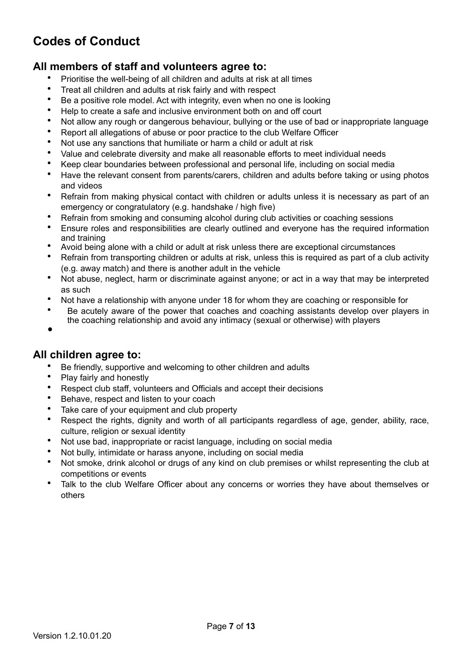# **Codes of Conduct**

# **All members of staff and volunteers agree to:**

- Prioritise the well-being of all children and adults at risk at all times
- Treat all children and adults at risk fairly and with respect
- Be a positive role model. Act with integrity, even when no one is looking
- Help to create a safe and inclusive environment both on and off court
- Not allow any rough or dangerous behaviour, bullying or the use of bad or inappropriate language
- Report all allegations of abuse or poor practice to the club Welfare Officer
- Not use any sanctions that humiliate or harm a child or adult at risk
- Value and celebrate diversity and make all reasonable efforts to meet individual needs
- Keep clear boundaries between professional and personal life, including on social media
- Have the relevant consent from parents/carers, children and adults before taking or using photos and videos
- Refrain from making physical contact with children or adults unless it is necessary as part of an emergency or congratulatory (e.g. handshake / high five)
- Refrain from smoking and consuming alcohol during club activities or coaching sessions
- Ensure roles and responsibilities are clearly outlined and everyone has the required information and training
- Avoid being alone with a child or adult at risk unless there are exceptional circumstances
- Refrain from transporting children or adults at risk, unless this is required as part of a club activity (e.g. away match) and there is another adult in the vehicle
- Not abuse, neglect, harm or discriminate against anyone; or act in a way that may be interpreted as such
- Not have a relationship with anyone under 18 for whom they are coaching or responsible for
- Be acutely aware of the power that coaches and coaching assistants develop over players in the coaching relationship and avoid any intimacy (sexual or otherwise) with players
- •

## **All children agree to:**

- Be friendly, supportive and welcoming to other children and adults
- Play fairly and honestly
- Respect club staff, volunteers and Officials and accept their decisions
- Behave, respect and listen to your coach
- Take care of your equipment and club property
- Respect the rights, dignity and worth of all participants regardless of age, gender, ability, race, culture, religion or sexual identity
- Not use bad, inappropriate or racist language, including on social media
- Not bully, intimidate or harass anyone, including on social media
- Not smoke, drink alcohol or drugs of any kind on club premises or whilst representing the club at competitions or events
- Talk to the club Welfare Officer about any concerns or worries they have about themselves or others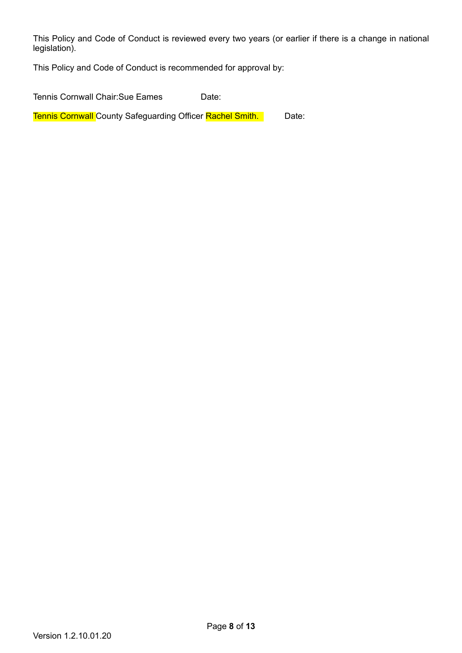This Policy and Code of Conduct is reviewed every two years (or earlier if there is a change in national legislation).

This Policy and Code of Conduct is recommended for approval by:

Tennis Cornwall Chair:Sue Eames Date:

Tennis Cornwall County Safeguarding Officer Rachel Smith. **Date:**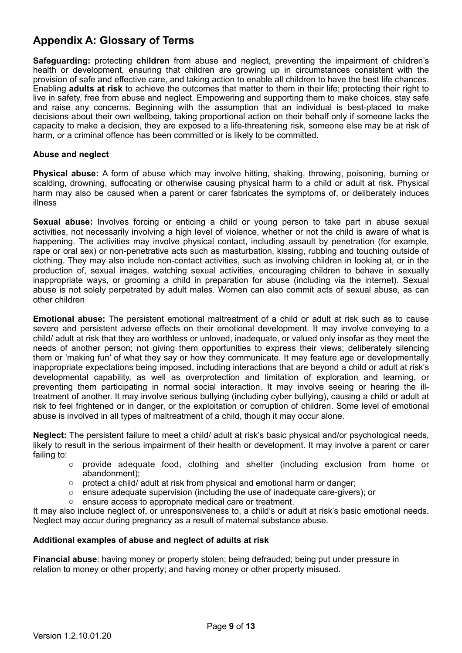# **Appendix A: Glossary of Terms**

**Safeguarding:** protecting **children** from abuse and neglect, preventing the impairment of children's health or development, ensuring that children are growing up in circumstances consistent with the provision of safe and effective care, and taking action to enable all children to have the best life chances. Enabling **adults at risk** to achieve the outcomes that matter to them in their life; protecting their right to live in safety, free from abuse and neglect. Empowering and supporting them to make choices, stay safe and raise any concerns. Beginning with the assumption that an individual is best-placed to make decisions about their own wellbeing, taking proportional action on their behalf only if someone lacks the capacity to make a decision, they are exposed to a life-threatening risk, someone else may be at risk of harm, or a criminal offence has been committed or is likely to be committed.

#### **Abuse and neglect**

**Physical abuse:** A form of abuse which may involve hitting, shaking, throwing, poisoning, burning or scalding, drowning, suffocating or otherwise causing physical harm to a child or adult at risk. Physical harm may also be caused when a parent or carer fabricates the symptoms of, or deliberately induces illness

Sexual abuse: Involves forcing or enticing a child or young person to take part in abuse sexual activities, not necessarily involving a high level of violence, whether or not the child is aware of what is happening. The activities may involve physical contact, including assault by penetration (for example, rape or oral sex) or non-penetrative acts such as masturbation, kissing, rubbing and touching outside of clothing. They may also include non-contact activities, such as involving children in looking at, or in the production of, sexual images, watching sexual activities, encouraging children to behave in sexually inappropriate ways, or grooming a child in preparation for abuse (including via the internet). Sexual abuse is not solely perpetrated by adult males. Women can also commit acts of sexual abuse, as can other children

**Emotional abuse:** The persistent emotional maltreatment of a child or adult at risk such as to cause severe and persistent adverse effects on their emotional development. It may involve conveying to a child/ adult at risk that they are worthless or unloved, inadequate, or valued only insofar as they meet the needs of another person; not giving them opportunities to express their views; deliberately silencing them or 'making fun' of what they say or how they communicate. It may feature age or developmentally inappropriate expectations being imposed, including interactions that are beyond a child or adult at risk's developmental capability, as well as overprotection and limitation of exploration and learning, or preventing them participating in normal social interaction. It may involve seeing or hearing the illtreatment of another. It may involve serious bullying (including cyber bullying), causing a child or adult at risk to feel frightened or in danger, or the exploitation or corruption of children. Some level of emotional abuse is involved in all types of maltreatment of a child, though it may occur alone.

**Neglect:** The persistent failure to meet a child/ adult at risk's basic physical and/or psychological needs, likely to result in the serious impairment of their health or development. It may involve a parent or carer failing to:

- o provide adequate food, clothing and shelter (including exclusion from home or abandonment);
- o protect a child/ adult at risk from physical and emotional harm or danger;
- $\circ$  ensure adequate supervision (including the use of inadequate care-givers); or
- ensure access to appropriate medical care or treatment.

It may also include neglect of, or unresponsiveness to, a child's or adult at risk's basic emotional needs. Neglect may occur during pregnancy as a result of maternal substance abuse.

#### **Additional examples of abuse and neglect of adults at risk**

**Financial abuse**: having money or property stolen; being defrauded; being put under pressure in relation to money or other property; and having money or other property misused.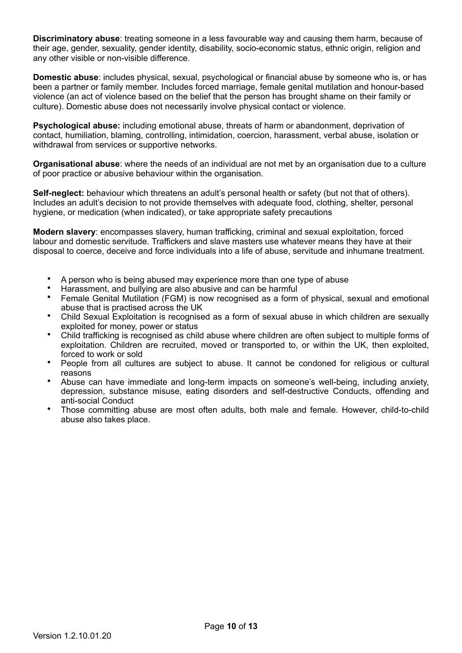**Discriminatory abuse**: treating someone in a less favourable way and causing them harm, because of their age, gender, sexuality, gender identity, disability, socio-economic status, ethnic origin, religion and any other visible or non-visible difference.

**Domestic abuse**: includes physical, sexual, psychological or financial abuse by someone who is, or has been a partner or family member. Includes forced marriage, female genital mutilation and honour-based violence (an act of violence based on the belief that the person has brought shame on their family or culture). Domestic abuse does not necessarily involve physical contact or violence.

**Psychological abuse:** including emotional abuse, threats of harm or abandonment, deprivation of contact, humiliation, blaming, controlling, intimidation, coercion, harassment, verbal abuse, isolation or withdrawal from services or supportive networks.

**Organisational abuse**: where the needs of an individual are not met by an organisation due to a culture of poor practice or abusive behaviour within the organisation.

**Self-neglect:** behaviour which threatens an adult's personal health or safety (but not that of others). Includes an adult's decision to not provide themselves with adequate food, clothing, shelter, personal hygiene, or medication (when indicated), or take appropriate safety precautions

**Modern slavery**: encompasses slavery, human trafficking, criminal and sexual exploitation, forced labour and domestic servitude. Traffickers and slave masters use whatever means they have at their disposal to coerce, deceive and force individuals into a life of abuse, servitude and inhumane treatment.

- A person who is being abused may experience more than one type of abuse
- Harassment, and bullying are also abusive and can be harmful
- Female Genital Mutilation (FGM) is now recognised as a form of physical, sexual and emotional abuse that is practised across the UK
- Child Sexual Exploitation is recognised as a form of sexual abuse in which children are sexually exploited for money, power or status
- Child trafficking is recognised as child abuse where children are often subject to multiple forms of exploitation. Children are recruited, moved or transported to, or within the UK, then exploited, forced to work or sold
- People from all cultures are subject to abuse. It cannot be condoned for religious or cultural reasons
- Abuse can have immediate and long-term impacts on someone's well-being, including anxiety, depression, substance misuse, eating disorders and self-destructive Conducts, offending and anti-social Conduct
- Those committing abuse are most often adults, both male and female. However, child-to-child abuse also takes place.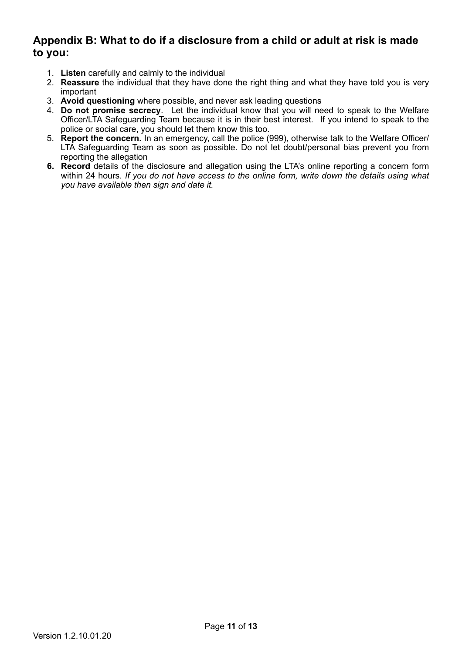# **Appendix B: What to do if a disclosure from a child or adult at risk is made to you:**

- 1. **Listen** carefully and calmly to the individual
- 2. **Reassure** the individual that they have done the right thing and what they have told you is very important
- 3. **Avoid questioning** where possible, and never ask leading questions
- 4. **Do not promise secrecy**. Let the individual know that you will need to speak to the Welfare Officer/LTA Safeguarding Team because it is in their best interest. If you intend to speak to the police or social care, you should let them know this too.
- 5. **Report the concern.** In an emergency, call the police (999), otherwise talk to the Welfare Officer/ LTA Safeguarding Team as soon as possible. Do not let doubt/personal bias prevent you from reporting the allegation
- **6. Record** details of the disclosure and allegation using the LTA's online reporting a concern form within 24 hours*. If you do not have access to the online form, write down the details using what you have available then sign and date it.*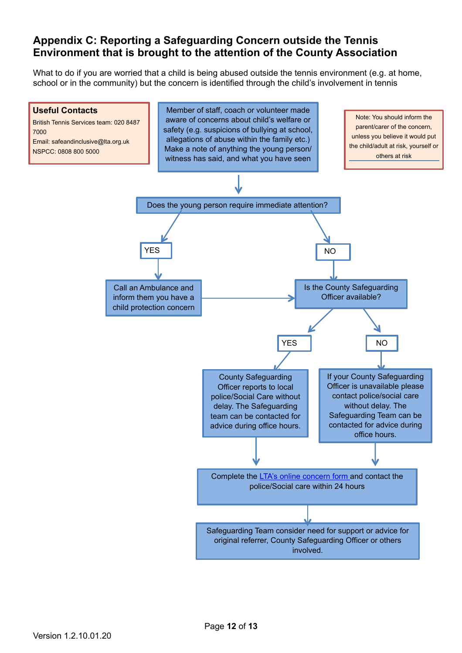# **Appendix C: Reporting a Safeguarding Concern outside the Tennis Environment that is brought to the attention of the County Association**

What to do if you are worried that a child is being abused outside the tennis environment (e.g. at home, school or in the community) but the concern is identified through the child's involvement in tennis